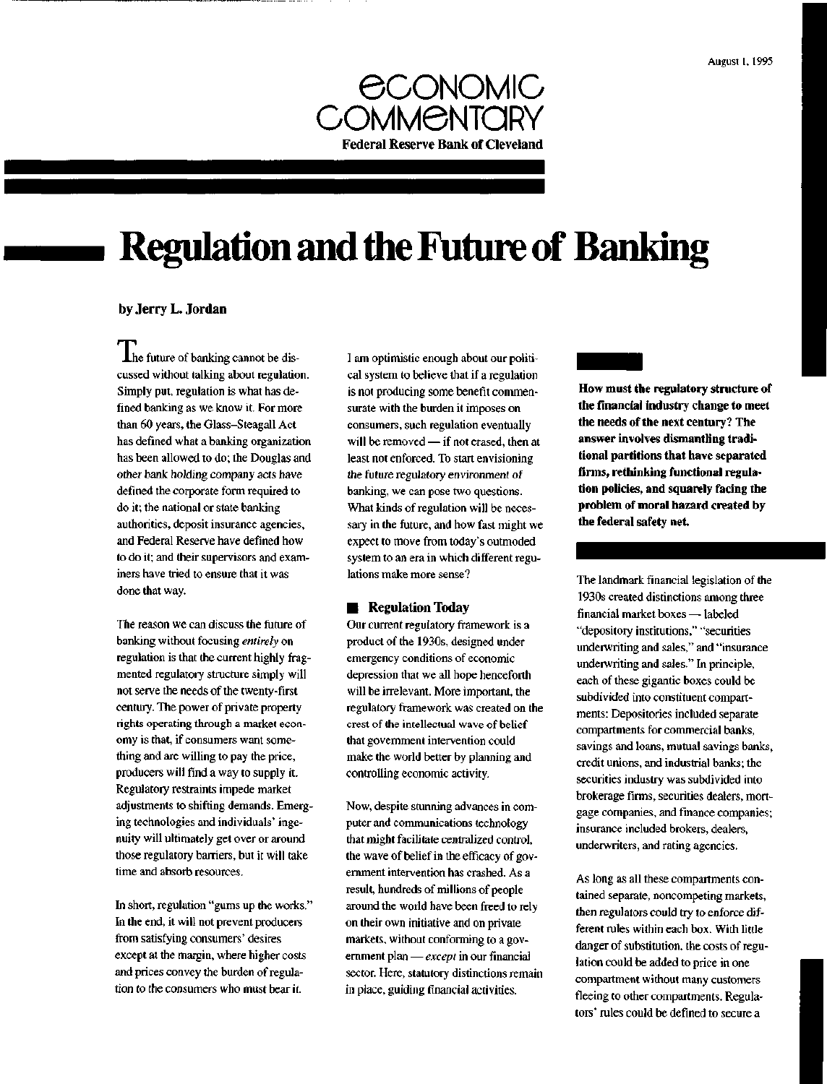

# **Regulation and the Future of Banking**

## by Jerry L. Jordan

**Ihe future of banking cannot be dis**cussed without talking about regulation. Simply put, regulation is what has defined banking as we know it. For more than 60 years, the Glass-Steagall Act has defined what a banking organization has been allowed to do; the Douglas and other bank holding company acts have defined the corporate form required to do it; the national or state banking authorities, deposit insurance agencies, and Federal Reserve have defined how to do it; and their supervisors and examiners have tried to ensure that it was done that way.

The reason we can discuss the future of banking without focusing *entirely* on regulation is that the current highly fragmented regulatory structure simply will not serve the needs of the twenty-first century. The power of private property rights operating through a market economy is that, if consumers want something and are willing to pay the price, producers will find a way to supply it. Regulatory restraints impede market adjustments to shifting demands. Emerging technologies and individuals' ingenuity will ultimately get over or around those regulatory barriers, but it will take time and absorb resources.

In short, regulation "gums up the works." In the end, it will not prevent producers from satisfying consumers' desires except at the margin, where higher costs and prices convey the burden of regulation to the consumers who must bear it.

I am optimistic enough about our political system to believe that if a regulation is not producing some benefit commensurate with the burden it imposes on consumers, such regulation eventually will be removed — if not erased, then at least not enforced. To start envisioning the future regulatory environment of banking, we can pose two questions. What kinds of regulation will be necessary in the future, and how fast might we expect to move from today's outmoded system to an era in which different regulations make more sense?

## • Regulation Today

Our current regulatory framework is a product of the 1930s, designed under emergency conditions of economic depression that we all hope henceforth will be irrelevant. More important, the regulatory framework was created on the crest of the intellectual wave of belief that government intervention could make the world better by planning and controlling economic activity.

Now, despite stunning advances in computer and communications technology that might facilitate centralized control, the wave of belief in the efficacy of government intervention has crashed. As a result, hundreds of millions of people around the world have been freed to rely on their own initiative and on private markets, without conforming to a government plan — *except* in our financial sector. Here, statutory distinctions remain in place, guiding financial activities.

**How must the regulatory structure of the financial industry change to meet the needs of the next century? The answer involves dismantling traditional partitions that have separated firms, rethinking functional regulation policies, and squarely facing the problem of moral hazard created by the federal safety net.**

The landmark financial legislation of the 1930s created distinctions among three financial market boxes — labeled "depository institutions," "securities underwriting and sales," and "insurance underwriting and sales." In principle, each of these gigantic boxes could be subdivided into constituent compartments: Depositories included separate compartments for commercial banks, savings and loans, mutual savings banks, credit unions, and industrial banks; the securities industry was subdivided into brokerage firms, securities dealers, mortgage companies, and finance companies; insurance included brokers, dealers, underwriters, and rating agencies.

As long as all these compartments contained separate, noncompeting markets, then regulators could try to enforce different rules within each box. With little danger of substitution, the costs of regulation could be added to price in one compartment without many customers fleeing to other compartments. Regulators' rules could be defined to secure a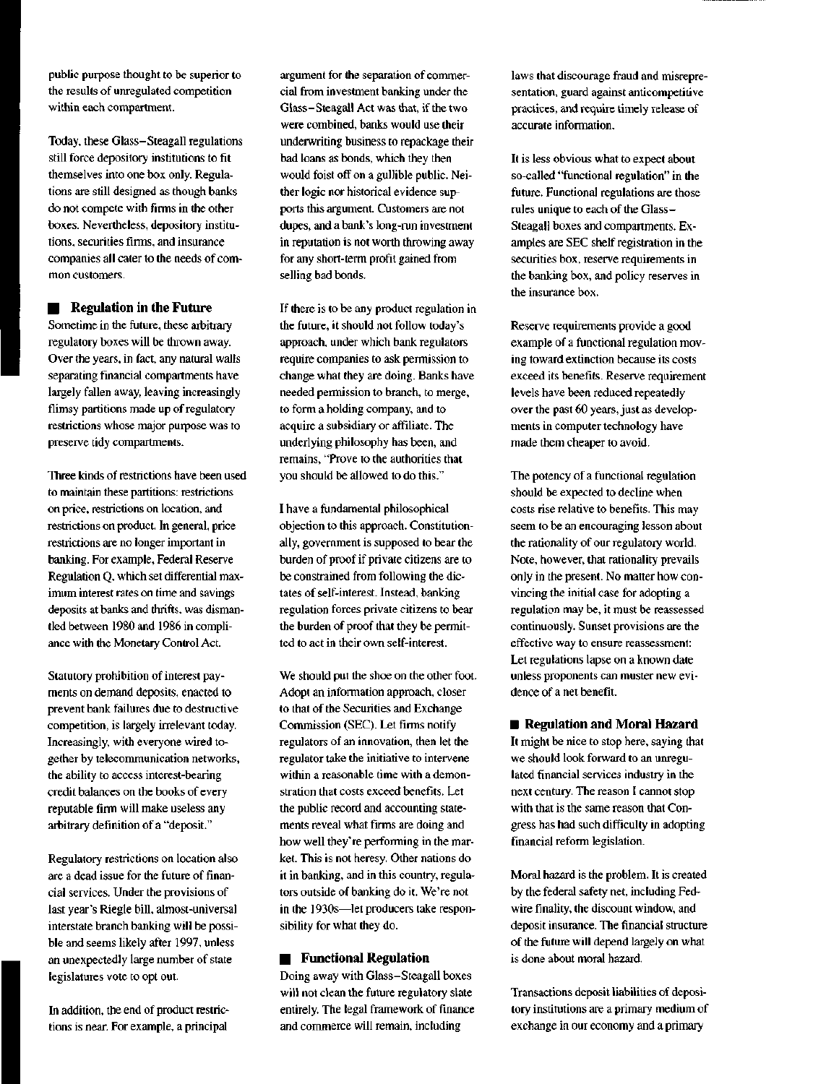public purpose thought to be superior to the results of unregulated competition within each compartment.

Today, these Glass-Steagall regulations still force depository institutions to fit themselves into one box only. Regulations are still designed as though banks do not compete with firms in the other boxes. Nevertheless, depository institutions, securities firms, and insurance companies all cater to the needs of common customers.

**• Regulation in the Future** 

Sometime in the future, these arbitrary regulatory boxes will be thrown away. Over the years, in fact, any natural walls separating financial compartments have largely fallen away, leaving increasingly flimsy partitions made up of regulatory restrictions whose major purpose was to preserve tidy compartments.

Three kinds of restrictions have been used to maintain these partitions: restrictions on price, restrictions on location, and restrictions on product. In general, price restrictions are no longer important in banking. For example, Federal Reserve Regulation Q, which set differential maximum interest rates on time and savings deposits at banks and thrifts, was dismantled between 1980 and 1986 in compliance with the Monetary Control Act.

Statutory prohibition of interest payments on demand deposits, enacted to prevent bank failures due to destructive competition, is largely irrelevant today. Increasingly, with everyone wired together by telecommunication networks, the ability to access interest-bearing credit balances on the books of every reputable firm will make useless any arbitrary definition of a "deposit."

Regulatory restrictions on location also are a dead issue for the future of financial services. Under the provisions of last year's Riegle bill, almost-universal interstate branch banking will be possible and seems likely after 1997, unless an unexpectedly large number of state legislatures vote to opt out.

In addition, the end of product restrictions is near. For example, a principal

argument for the separation of commercial from investment banking under the Glass-Steagall Act was that, if the two were combined, banks would use their underwriting business to repackage their bad loans as bonds, which they then would foist off on a gullible public. Neither logic nor historical evidence supports this argument. Customers are not dupes, and a bank's long-run investment in reputation is not worth throwing away for any short-term profit gained from selling bad bonds.

If there is to be any product regulation in the future, it should not follow today's approach, under which bank regulators require companies to ask permission to change what they are doing. Banks have needed permission to branch, to merge, to form a holding company, and to acquire a subsidiary or affiliate. The underlying philosophy has been, and remains, "Prove to the authorities that you should be allowed to do this."

I have a fundamental philosophical objection to this approach. Constitutionally, government is supposed to bear the burden of proof if private citizens are to be constrained from following the dictates of self-interest. Instead, banking regulation forces private citizens to bear the burden of proof that they be permitted to act in their own self-interest.

We should put the shoe on the other foot. Adopt an information approach, closer to that of the Securities and Exchange Commission (SEC). Let firms notify regulators of an innovation, then let the regulator take the initiative to intervene within a reasonable time with a demonstration that costs exceed benefits. Let the public record and accounting statements reveal what firms are doing and how well they're performing in the market. This is not heresy. Other nations do it in banking, and in this country, regulators outside of banking do it. We're not in the 1930s—let producers take responsibility for what they do.

#### **Functional Regulation**

Doing away with Glass-Steagall boxes will not clean the future regulatory slate entirely. The legal framework of finance and commerce will remain, including

laws that discourage fraud and misrepresentation, guard against anticompetitive practices, and require timely release of accurate information.

It is less obvious what to expect about so-called "functional regulation" in the future. Functional regulations are those rules unique to each of the Glass-Steagall boxes and compartments. Examples are SEC shelf registration in the securities box, reserve requirements in the banking box, and policy reserves in the insurance box.

Reserve requirements provide a good example of a functional regulation moving toward extinction because its costs exceed its benefits. Reserve requirement levels have been reduced repeatedly over the past 60 years, just as developments in computer technology have made them cheaper to avoid.

The potency of a functional regulation should be expected to decline when costs rise relative to benefits. This may seem to be an encouraging lesson about the rationality of our regulatory world. Note, however, that rationality prevails only in the present. No matter how convincing the initial case for adopting a regulation may be, it must be reassessed continuously. Sunset provisions are the effective way to ensure reassessment: Let regulations lapse on a known date unless proponents can muster new evidence of a net benefit.

**• Regulation and Moral Hazard** 

It might be nice to stop here, saying that we should look forward to an unregulated financial services industry in the next century. The reason I cannot stop with that is the same reason that Congress has had such difficulty in adopting financial reform legislation.

Moral hazard is the problem. It is created by the federal safety net, including Fedwire finality, the discount window, and deposit insurance. The financial structure of the future will depend largely on what is done about moral hazard.

Transactions deposit liabilities of depository institutions are a primary medium of exchange in our economy and a primary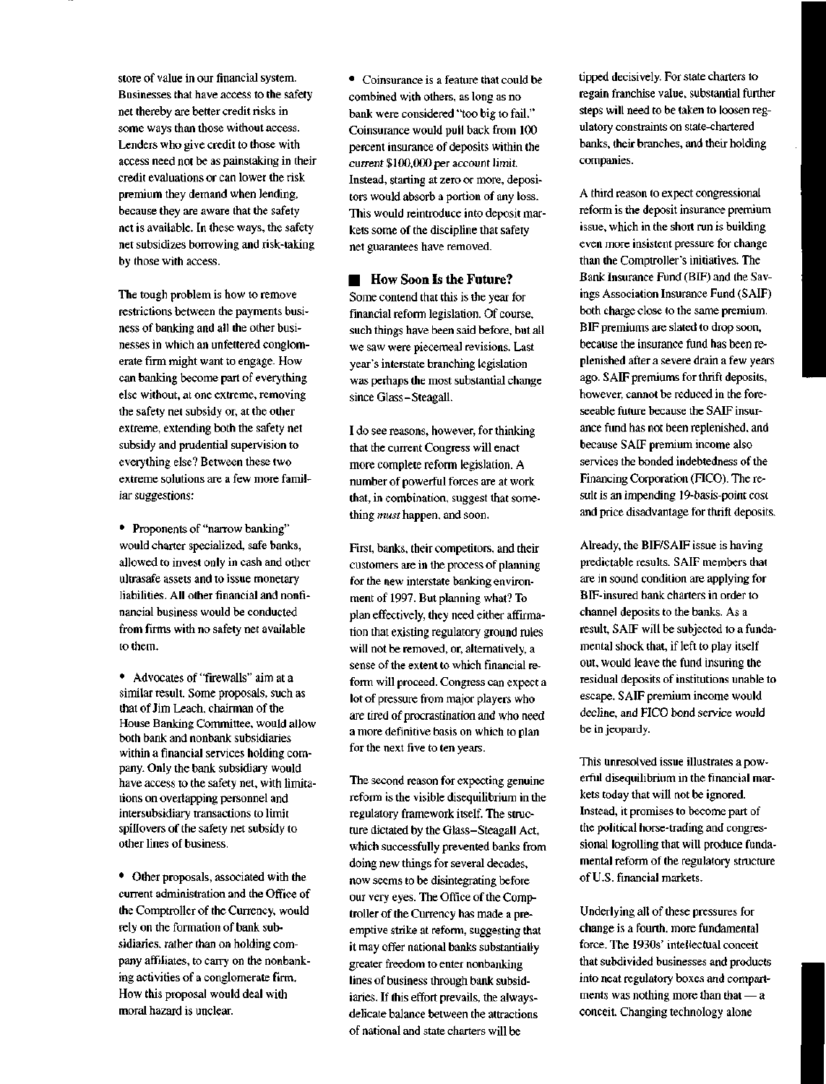store of value in our financial system. Businesses that have access to the safety net thereby are better credit risks in some ways than those without access. Lenders who give credit to those with access need not be as painstaking in their credit evaluations or can lower the risk premium they demand when lending, because they are aware that the safety net is available. In these ways, the safety net subsidizes borrowing and risk-taking by those with access.

The tough problem is how to remove restrictions between the payments business of banking and all the other businesses in which an unfettered conglomerate firm might want to engage. How can banking become part of everything else without, at one extreme, removing the safety net subsidy or, at the other extreme, extending both the safety net subsidy and prudential supervision to everything else? Between these two extreme solutions are a few more familiar suggestions:

• Proponents of "narrow banking" would charter specialized, safe banks, allowed to invest only in cash and other ultrasafe assets and to issue monetary liabilities. All other financial and nonfinancial business would be conducted from firms with no safety net available to them.

• Advocates of "firewalls" aim at a similar result. Some proposals, such as that of Jim Leach, chairman of the House Banking Committee, would allow both bank and nonbank subsidiaries within a financial services holding company. Only the bank subsidiary would have access to the safety net, with limitations on overlapping personnel and intersubsidiary transactions to limit spillovers of the safety net subsidy to other lines of business.

• Other proposals, associated with the current administration and the Office of the Comptroller of the Currency, would rely on the formation of bank subsidiaries, rather than on holding company affiliates, to carry on the nonbanking activities of a conglomerate firm. How this proposal would deal with moral hazard is unclear.

• Coinsurance is a feature that could be combined with others, as long as no bank were considered "too big to fail." Coinsurance would pull back from 100 percent insurance of deposits within the current \$100,000 per account limit. Instead, starting at zero or more, depositors would absorb a portion of any loss. This would reintroduce into deposit markets some of the discipline that safety net guarantees have removed.

**EXECUTE:** How Soon Is the Future? Some contend that this is the year for financial reform legislation. Of course, such things have been said before, but all we saw were piecemeal revisions. Last year's interstate branching legislation was perhaps the most substantial change since Glass-Steagall.

I do see reasons, however, for thinking that the current Congress will enact more complete reform legislation. A number of powerful forces are at work that, in combination, suggest that something *must* happen, and soon.

First, banks, their competitors, and their customers are in the process of planning for the new interstate banking environment of 1997. But planning what? To plan effectively, they need either affirmation that existing regulatory ground rules will not be removed, or, alternatively, a sense of the extent to which financial reform will proceed. Congress can expect a lot of pressure from major players who are tired of procrastination and who need a more definitive basis on which to plan for the next five to ten years.

The second reason for expecting genuine reform is the visible disequilibrium in the regulatory framework itself. The structure dictated by the Glass-Steagall Act, which successfully prevented banks from doing new things for several decades, now seems to be disintegrating before our very eyes. The Office of the Comptroller of the Currency has made a preemptive strike at reform, suggesting that it may offer national banks substantially greater freedom to enter nonbanking lines of business through bank subsidiaries. If this effort prevails, the alwaysdelicate balance between the attractions of national and state charters will be

tipped decisively. For state charters to regain franchise value, substantial further steps will need to be taken to loosen regulatory constraints on state-chartered banks, their branches, and their holding companies.

A third reason to expect congressional reform is the deposit insurance premium issue, which in the short run is building even more insistent pressure for change than the Comptroller's initiatives. The Bank Insurance Fund (BIF) and the Savings Association Insurance Fund (SAIF) both charge close to the same premium. BIF premiums are slated to drop soon, because the insurance fund has been replenished after a severe drain a few years ago. SAIF premiums for thrift deposits, however, cannot be reduced in the foreseeable future because the SAIF insurance fund has not been replenished, and because SAIF premium income also services the bonded indebtedness of the Financing Corporation (FICO). The result is an impending 19-basis-point cost and price disadvantage for thrift deposits.

Already, the BIF/SAIF issue is having predictable results. SAIF members that are in sound condition are applying for BIF-insured bank charters in order to channel deposits to the banks. As a result, SAIF will be subjected to a fundamental shock that, if left to play itself out, would leave the fund insuring the residual deposits of institutions unable to escape. SAIF premium income would decline, and FICO bond service would be in jeopardy.

This unresolved issue illustrates a powerful disequilibrium in the financial markets today that will not be ignored. Instead, it promises to become part of the political horse-trading and congressional logrolling that will produce fundamental reform of the regulatory structure of U.S. financial markets.

Underlying all of these pressures for change is a fourth, more fundamental force. The 1930s' intellectual conceit that subdivided businesses and products into neat regulatory boxes and compartments was nothing more than that — a conceit. Changing technology alone